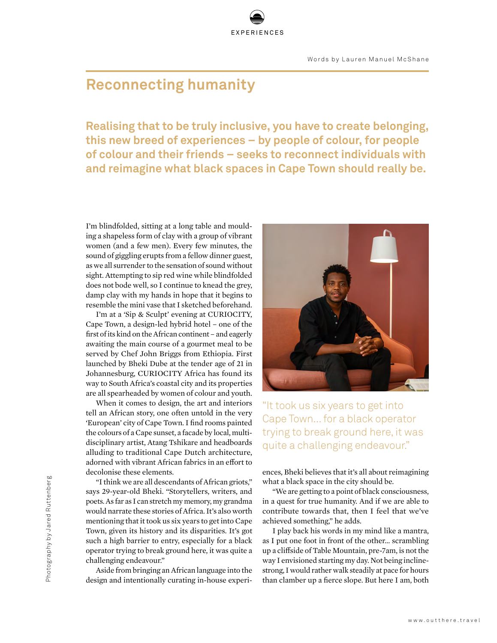## **Reconnecting humanity**

**Realising that to be truly inclusive, you have to create belonging, this new breed of experiences – by people of colour, for people of colour and their friends – seeks to reconnect individuals with and reimagine what black spaces in Cape Town should really be.**

EXPERIENCES

I'm blindfolded, sitting at a long table and moulding a shapeless form of clay with a group of vibrant women (and a few men). Every few minutes, the sound of giggling erupts from a fellow dinner guest, as we all surrender to the sensation of sound without sight. Attempting to sip red wine while blindfolded does not bode well, so I continue to knead the grey, damp clay with my hands in hope that it begins to resemble the mini vase that I sketched beforehand.

I'm at a 'Sip & Sculpt' evening at CURIOCITY, Cape Town, a design-led hybrid hotel – one of the first of its kind on the African continent – and eagerly awaiting the main course of a gourmet meal to be served by Chef John Briggs from Ethiopia. First launched by Bheki Dube at the tender age of 21 in Johannesburg, CURIOCITY Africa has found its way to South Africa's coastal city and its properties are all spearheaded by women of colour and youth.

When it comes to design, the art and interiors tell an African story, one often untold in the very 'European' city of Cape Town. I find rooms painted the colours of a Cape sunset, a facade by local, multidisciplinary artist, Atang Tshikare and headboards alluding to traditional Cape Dutch architecture, adorned with vibrant African fabrics in an effort to decolonise these elements.

"I think we are all descendants of African griots," says 29-year-old Bheki. "Storytellers, writers, and poets. As far as I can stretch my memory, my grandma would narrate these stories of Africa. It's also worth mentioning that it took us six years to get into Cape Town, given its history and its disparities. It's got such a high barrier to entry, especially for a black operator trying to break ground here, it was quite a challenging endeavour."

Aside from bringing an African language into the design and intentionally curating in-house experi-



"It took us six years to get into Cape Town... for a black operator trying to break ground here, it was quite a challenging endeavour."

ences, Bheki believes that it's all about reimagining what a black space in the city should be.

"We are getting to a point of black consciousness, in a quest for true humanity. And if we are able to contribute towards that, then I feel that we've achieved something," he adds.

I play back his words in my mind like a mantra, as I put one foot in front of the other... scrambling up a cliffside of Table Mountain, pre-7am, is not the way I envisioned starting my day. Not being inclinestrong, I would rather walk steadily at pace for hours than clamber up a fierce slope. But here I am, both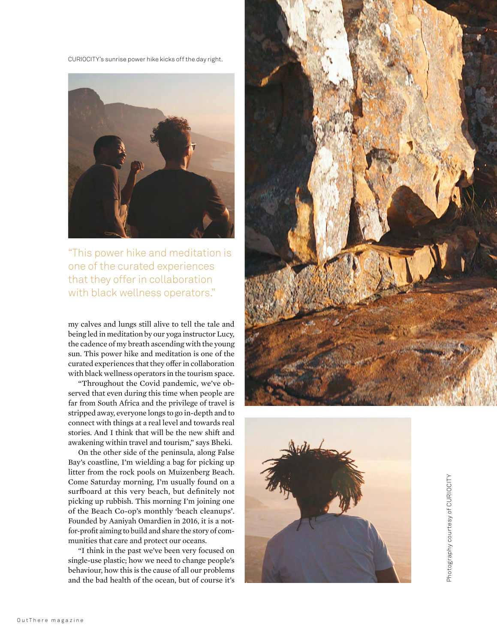CURIOCITY's sunrise power hike kicks off the day right.



"This power hike and meditation is one of the curated experiences that they offer in collaboration with black wellness operators."

my calves and lungs still alive to tell the tale and being led in meditation by our yoga instructor Lucy, the cadence of my breath ascending with the young sun. This power hike and meditation is one of the curated experiences that they offer in collaboration with black wellness operators in the tourism space.

"Throughout the Covid pandemic, we've ob served that even during this time when people are far from South Africa and the privilege of travel is stripped away, everyone longs to go in-depth and to connect with things at a real level and towards real stories. And I think that will be the new shift and awakening within travel and tourism," says Bheki.

On the other side of the peninsula, along False Bay's coastline, I'm wielding a bag for picking up litter from the rock pools on Muizenberg Beach. Come Saturday morning, I'm usually found on a surfboard at this very beach, but definitely not picking up rubbish. This morning I'm joining one of the Beach Co-op's monthly 'beach cleanups'. Founded by Aaniyah Omardien in 2016, it is a notfor-profit aiming to build and share the story of communities that care and protect our oceans.

"I think in the past we've been very focused on single-use plastic; how we need to change people's behaviour, how this is the cause of all our problems and the bad health of the ocean, but of course it's





Photography courtesy of CURIOCITY Photography courtesy of CURIOCITY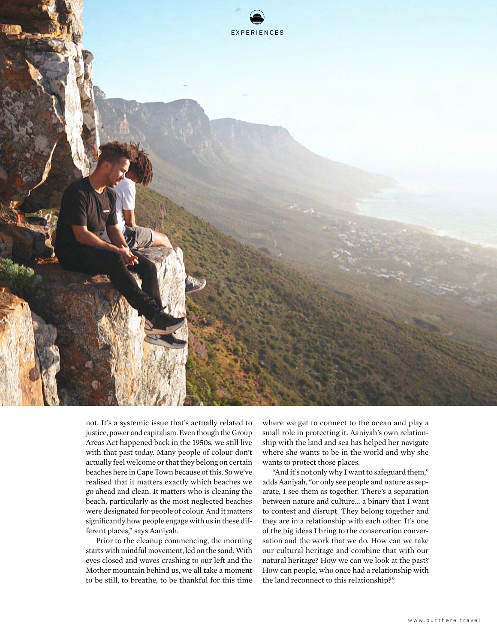

not. It's a systemic issue that's actually related to justice, power and capitalism. Even though the Group Areas Act happened back in the 1950s, we still live with that past today. Many people of colour don't actually feel welcome or that they belong on certain beaches here in Cape Town because of this. So we've realised that it matters exactly which beaches we go ahead and clean. It matters who is cleaning the beach, particularly as the most neglected beaches were designated for people of colour. And it matters significantly how people engage with us in these different places," says Aaniyah.

Prior to the cleanup commencing, the morning starts with mindful movement, led on the sand. With eyes closed and waves crashing to our left and the Mother mountain behind us, we all take a moment to be still, to breathe, to be thankful for this time

where we get to connect to the ocean and play a small role in protecting it. Aaniyah's own relationship with the land and sea has helped her navigate where she wants to be in the world and why she wants to protect those places.

"And it's not only why I want to safeguard them," adds Aaniyah, "or only see people and nature as separate, I see them as together. There's a separation between nature and culture... a binary that I want to contest and disrupt. They belong together and they are in a relationship with each other. It's one of the big ideas I bring to the conservation conversation and the work that we do. How can we take our cultural heritage and combine that with our natural heritage? How we can we look at the past? How can people, who once had a relationship with the land reconnect to this relationship?"